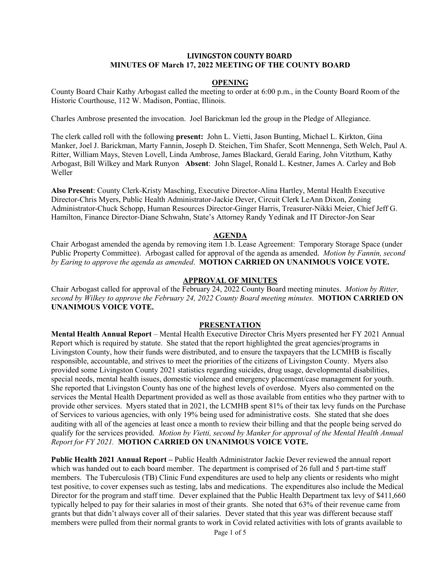### **LIVINGSTON COUNTY BOARD MINUTES OF March 17, 2022 MEETING OF THE COUNTY BOARD**

#### **OPENING**

County Board Chair Kathy Arbogast called the meeting to order at 6:00 p.m., in the County Board Room of the Historic Courthouse, 112 W. Madison, Pontiac, Illinois.

Charles Ambrose presented the invocation. Joel Barickman led the group in the Pledge of Allegiance.

The clerk called roll with the following **present:** John L. Vietti, Jason Bunting, Michael L. Kirkton, Gina Manker, Joel J. Barickman, Marty Fannin, Joseph D. Steichen, Tim Shafer, Scott Mennenga, Seth Welch, Paul A. Ritter, William Mays, Steven Lovell, Linda Ambrose, James Blackard, Gerald Earing, John Vitzthum, Kathy Arbogast, Bill Wilkey and Mark Runyon **Absent**: John Slagel, Ronald L. Kestner, James A. Carley and Bob Weller

**Also Present**: County Clerk-Kristy Masching, Executive Director-Alina Hartley, Mental Health Executive Director-Chris Myers, Public Health Administrator-Jackie Dever, Circuit Clerk LeAnn Dixon, Zoning Administrator-Chuck Schopp, Human Resources Director-Ginger Harris, Treasurer-Nikki Meier, Chief Jeff G. Hamilton, Finance Director-Diane Schwahn, State's Attorney Randy Yedinak and IT Director-Jon Sear

#### **AGENDA**

Chair Arbogast amended the agenda by removing item 1.b. Lease Agreement: Temporary Storage Space (under Public Property Committee). Arbogast called for approval of the agenda as amended. *Motion by Fannin, second by Earing to approve the agenda as amended*. **MOTION CARRIED ON UNANIMOUS VOICE VOTE.**

#### **APPROVAL OF MINUTES**

Chair Arbogast called for approval of the February 24, 2022 County Board meeting minutes. *Motion by Ritter, second by Wilkey to approve the February 24, 2022 County Board meeting minutes.* **MOTION CARRIED ON UNANIMOUS VOICE VOTE.** 

#### **PRESENTATION**

**Mental Health Annual Report** – Mental Health Executive Director Chris Myers presented her FY 2021 Annual Report which is required by statute. She stated that the report highlighted the great agencies/programs in Livingston County, how their funds were distributed, and to ensure the taxpayers that the LCMHB is fiscally responsible, accountable, and strives to meet the priorities of the citizens of Livingston County. Myers also provided some Livingston County 2021 statistics regarding suicides, drug usage, developmental disabilities, special needs, mental health issues, domestic violence and emergency placement/case management for youth. She reported that Livingston County has one of the highest levels of overdose. Myers also commented on the services the Mental Health Department provided as well as those available from entities who they partner with to provide other services. Myers stated that in 2021, the LCMHB spent 81% of their tax levy funds on the Purchase of Services to various agencies, with only 19% being used for administrative costs. She stated that she does auditing with all of the agencies at least once a month to review their billing and that the people being served do qualify for the services provided. *Motion by Vietti, second by Manker for approval of the Mental Health Annual Report for FY 2021.* **MOTION CARRIED ON UNANIMOUS VOICE VOTE.** 

**Public Health 2021 Annual Report – Public Health Administrator Jackie Dever reviewed the annual report** which was handed out to each board member. The department is comprised of 26 full and 5 part-time staff members. The Tuberculosis (TB) Clinic Fund expenditures are used to help any clients or residents who might test positive, to cover expenses such as testing, labs and medications. The expenditures also include the Medical Director for the program and staff time. Dever explained that the Public Health Department tax levy of \$411,660 typically helped to pay for their salaries in most of their grants. She noted that 63% of their revenue came from grants but that didn't always cover all of their salaries. Dever stated that this year was different because staff members were pulled from their normal grants to work in Covid related activities with lots of grants available to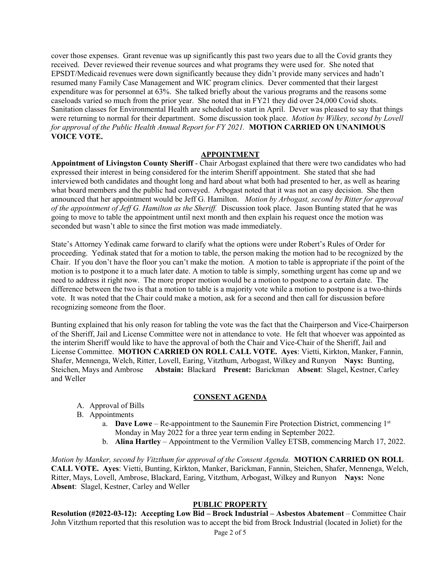cover those expenses. Grant revenue was up significantly this past two years due to all the Covid grants they received. Dever reviewed their revenue sources and what programs they were used for. She noted that EPSDT/Medicaid revenues were down significantly because they didn't provide many services and hadn't resumed many Family Case Management and WIC program clinics. Dever commented that their largest expenditure was for personnel at 63%. She talked briefly about the various programs and the reasons some caseloads varied so much from the prior year. She noted that in FY21 they did over 24,000 Covid shots. Sanitation classes for Environmental Health are scheduled to start in April. Dever was pleased to say that things were returning to normal for their department. Some discussion took place. *Motion by Wilkey, second by Lovell for approval of the Public Health Annual Report for FY 2021.* **MOTION CARRIED ON UNANIMOUS VOICE VOTE.** 

## **APPOINTMENT**

**Appointment of Livingston County Sheriff** - Chair Arbogast explained that there were two candidates who had expressed their interest in being considered for the interim Sheriff appointment. She stated that she had interviewed both candidates and thought long and hard about what both had presented to her, as well as hearing what board members and the public had conveyed. Arbogast noted that it was not an easy decision. She then announced that her appointment would be Jeff G. Hamilton. *Motion by Arbogast, second by Ritter for approval of the appointment of Jeff G. Hamilton as the Sheriff.* Discussion took place. Jason Bunting stated that he was going to move to table the appointment until next month and then explain his request once the motion was seconded but wasn't able to since the first motion was made immediately.

State's Attorney Yedinak came forward to clarify what the options were under Robert's Rules of Order for proceeding. Yedinak stated that for a motion to table, the person making the motion had to be recognized by the Chair. If you don't have the floor you can't make the motion. A motion to table is appropriate if the point of the motion is to postpone it to a much later date. A motion to table is simply, something urgent has come up and we need to address it right now. The more proper motion would be a motion to postpone to a certain date. The difference between the two is that a motion to table is a majority vote while a motion to postpone is a two-thirds vote. It was noted that the Chair could make a motion, ask for a second and then call for discussion before recognizing someone from the floor.

Bunting explained that his only reason for tabling the vote was the fact that the Chairperson and Vice-Chairperson of the Sheriff, Jail and License Committee were not in attendance to vote. He felt that whoever was appointed as the interim Sheriff would like to have the approval of both the Chair and Vice-Chair of the Sheriff, Jail and License Committee. **MOTION CARRIED ON ROLL CALL VOTE. Ayes**: Vietti, Kirkton, Manker, Fannin, Shafer, Mennenga, Welch, Ritter, Lovell, Earing, Vitzthum, Arbogast, Wilkey and Runyon **Nays:** Bunting, Steichen, Mays and Ambrose **Abstain:** Blackard **Present:** Barickman **Absent**: Slagel, Kestner, Carley and Weller

# **CONSENT AGENDA**

- A. Approval of Bills
- B. Appointments
	- a. **Dave Lowe** Re-appointment to the Saunemin Fire Protection District, commencing 1<sup>st</sup> Monday in May 2022 for a three year term ending in September 2022.
	- b. **Alina Hartley** Appointment to the Vermilion Valley ETSB, commencing March 17, 2022.

*Motion by Manker, second by Vitzthum for approval of the Consent Agenda.* **MOTION CARRIED ON ROLL CALL VOTE. Ayes**: Vietti, Bunting, Kirkton, Manker, Barickman, Fannin, Steichen, Shafer, Mennenga, Welch, Ritter, Mays, Lovell, Ambrose, Blackard, Earing, Vitzthum, Arbogast, Wilkey and Runyon **Nays:** None **Absent**: Slagel, Kestner, Carley and Weller

# **PUBLIC PROPERTY**

**Resolution (#2022-03-12): Accepting Low Bid – Brock Industrial – Asbestos Abatement** – Committee Chair John Vitzthum reported that this resolution was to accept the bid from Brock Industrial (located in Joliet) for the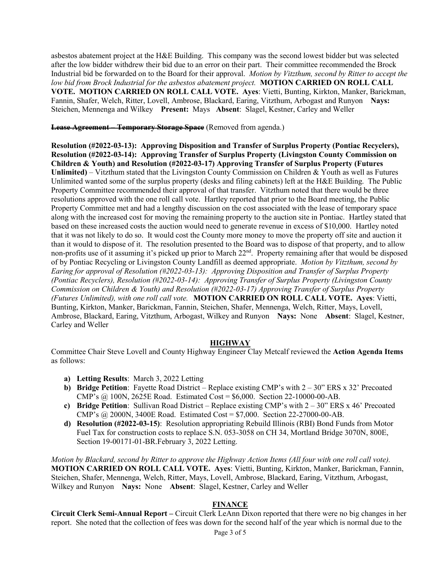asbestos abatement project at the H&E Building. This company was the second lowest bidder but was selected after the low bidder withdrew their bid due to an error on their part. Their committee recommended the Brock Industrial bid be forwarded on to the Board for their approval. *Motion by Vitzthum, second by Ritter to accept the low bid from Brock Industrial for the asbestos abatement project.* **MOTION CARRIED ON ROLL CALL VOTE. MOTION CARRIED ON ROLL CALL VOTE. Ayes**: Vietti, Bunting, Kirkton, Manker, Barickman, Fannin, Shafer, Welch, Ritter, Lovell, Ambrose, Blackard, Earing, Vitzthum, Arbogast and Runyon **Nays:** Steichen, Mennenga and Wilkey **Present:** Mays **Absent**: Slagel, Kestner, Carley and Weller

**Lease Agreement Temporary Storage Space** (Removed from agenda.)

**Resolution (#2022-03-13): Approving Disposition and Transfer of Surplus Property (Pontiac Recyclers), Resolution (#2022-03-14): Approving Transfer of Surplus Property (Livingston County Commission on Children & Youth) and Resolution (#2022-03-17) Approving Transfer of Surplus Property (Futures Unlimited)** – Vitzthum stated that the Livingston County Commission on Children & Youth as well as Futures Unlimited wanted some of the surplus property (desks and filing cabinets) left at the H&E Building. The Public Property Committee recommended their approval of that transfer. Vitzthum noted that there would be three resolutions approved with the one roll call vote. Hartley reported that prior to the Board meeting, the Public Property Committee met and had a lengthy discussion on the cost associated with the lease of temporary space along with the increased cost for moving the remaining property to the auction site in Pontiac. Hartley stated that based on these increased costs the auction would need to generate revenue in excess of \$10,000. Hartley noted that it was not likely to do so. It would cost the County more money to move the property off site and auction it than it would to dispose of it. The resolution presented to the Board was to dispose of that property, and to allow non-profits use of it assuming it's picked up prior to March 22<sup>nd</sup>. Property remaining after that would be disposed of by Pontiac Recycling or Livingston County Landfill as deemed appropriate. *Motion by Vitzthum, second by Earing for approval of Resolution (#2022-03-13): Approving Disposition and Transfer of Surplus Property (Pontiac Recyclers), Resolution (#2022-03-14): Approving Transfer of Surplus Property (Livingston County Commission on Children & Youth) and Resolution (#2022-03-17) Approving Transfer of Surplus Property (Futures Unlimited), with one roll call vote.* **MOTION CARRIED ON ROLL CALL VOTE. Ayes**: Vietti, Bunting, Kirkton, Manker, Barickman, Fannin, Steichen, Shafer, Mennenga, Welch, Ritter, Mays, Lovell, Ambrose, Blackard, Earing, Vitzthum, Arbogast, Wilkey and Runyon **Nays:** None **Absent**: Slagel, Kestner, Carley and Weller

## **HIGHWAY**

Committee Chair Steve Lovell and County Highway Engineer Clay Metcalf reviewed the **Action Agenda Items** as follows:

- **a) Letting Results**: March 3, 2022 Letting
- **b) Bridge Petition**: Fayette Road District Replace existing CMP's with  $2 30$ " ERS x 32' Precoated CMP's @ 100N, 2625E Road. Estimated Cost = \$6,000. Section 22-10000-00-AB.
- **c) Bridge Petition**: Sullivan Road District Replace existing CMP's with 2 30" ERS x 46' Precoated CMP's @ 2000N, 3400E Road. Estimated Cost = \$7,000. Section 22-27000-00-AB.
- **d) Resolution (#2022-03-15)**: Resolution appropriating Rebuild Illinois (RBI) Bond Funds from Motor Fuel Tax for construction costs to replace S.N. 053-3058 on CH 34, Mortland Bridge 3070N, 800E, Section 19-00171-01-BR.February 3, 2022 Letting.

*Motion by Blackard, second by Ritter to approve the Highway Action Items (All four with one roll call vote).* **MOTION CARRIED ON ROLL CALL VOTE. Ayes**: Vietti, Bunting, Kirkton, Manker, Barickman, Fannin, Steichen, Shafer, Mennenga, Welch, Ritter, Mays, Lovell, Ambrose, Blackard, Earing, Vitzthum, Arbogast, Wilkey and Runyon **Nays:** None **Absent**: Slagel, Kestner, Carley and Weller

# **FINANCE**

**Circuit Clerk Semi-Annual Report –** Circuit Clerk LeAnn Dixon reported that there were no big changes in her report. She noted that the collection of fees was down for the second half of the year which is normal due to the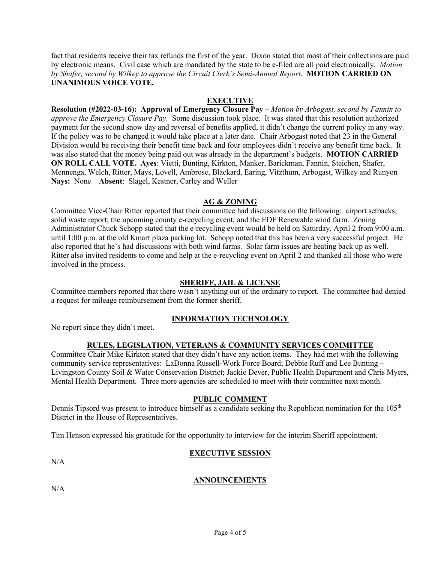fact that residents receive their tax refunds the first of the year. Dixon stated that most of their collections are paid by electronic means. Civil case which are mandated by the state to be e-filed are all paid electronically. *Motion by Shafer, second by Wilkey to approve the Circuit Clerk's Semi-Annual Report*. **MOTION CARRIED ON UNANIMOUS VOICE VOTE.** 

#### **EXECUTIVE**

**Resolution (#2022-03-16): Approval of Emergency Closure Pay** – *Motion by Arbogast, second by Fannin to approve the Emergency Closure Pay.* Some discussion took place. It was stated that this resolution authorized payment for the second snow day and reversal of benefits applied, it didn't change the current policy in any way. If the policy was to be changed it would take place at a later date. Chair Arbogast noted that 23 in the General Division would be receiving their benefit time back and four employees didn't receive any benefit time back. It was also stated that the money being paid out was already in the department's budgets. **MOTION CARRIED ON ROLL CALL VOTE. Ayes**: Vietti, Bunting, Kirkton, Manker, Barickman, Fannin, Steichen, Shafer, Mennenga, Welch, Ritter, Mays, Lovell, Ambrose, Blackard, Earing, Vitzthum, Arbogast, Wilkey and Runyon **Nays:** None **Absent**: Slagel, Kestner, Carley and Weller

## **AG & ZONING**

Committee Vice-Chair Ritter reported that their committee had discussions on the following: airport setbacks; solid waste report; the upcoming county e-recycling event; and the EDF Renewable wind farm. Zoning Administrator Chuck Schopp stated that the e-recycling event would be held on Saturday, April 2 from 9:00 a.m. until 1:00 p.m. at the old Kmart plaza parking lot. Schopp noted that this has been a very successful project. He also reported that he's had discussions with both wind farms. Solar farm issues are heating back up as well. Ritter also invited residents to come and help at the e-recycling event on April 2 and thanked all those who were involved in the process.

## **SHERIFF, JAIL & LICENSE**

Committee members reported that there wasn't anything out of the ordinary to report. The committee had denied a request for mileage reimbursement from the former sheriff.

## **INFORMATION TECHNOLOGY**

No report since they didn't meet.

## **RULES, LEGISLATION, VETERANS & COMMUNITY SERVICES COMMITTEE**

Committee Chair Mike Kirkton stated that they didn't have any action items. They had met with the following community service representatives: LaDonna Russell-Work Force Board; Debbie Ruff and Lee Bunting – Livingston County Soil & Water Conservation District; Jackie Dever, Public Health Department and Chris Myers, Mental Health Department. Three more agencies are scheduled to meet with their committee next month.

## **PUBLIC COMMENT**

Dennis Tipsord was present to introduce himself as a candidate seeking the Republican nomination for the 105<sup>th</sup> District in the House of Representatives.

Tim Henson expressed his gratitude for the opportunity to interview for the interim Sheriff appointment.

# **EXECUTIVE SESSION**

N/A

# **ANNOUNCEMENTS**

N/A